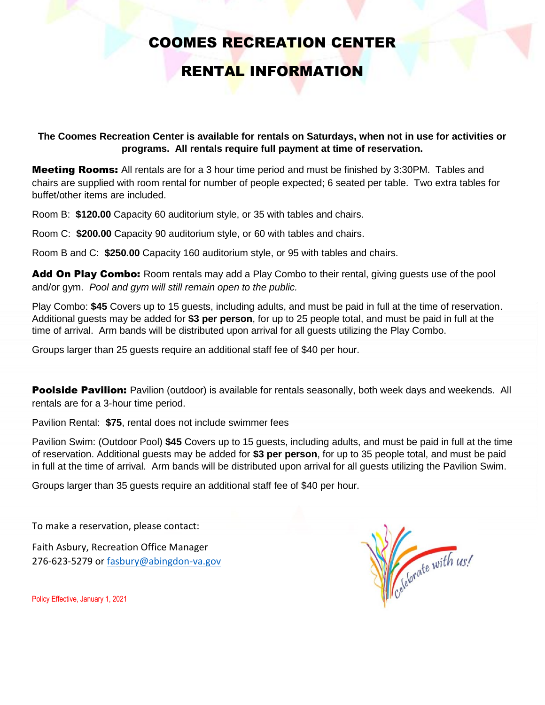# COOMES RECREATION CENTER

## RENTAL INFORMATION

**The Coomes Recreation Center is available for rentals on Saturdays, when not in use for activities or programs. All rentals require full payment at time of reservation.**

**Meeting Rooms:** All rentals are for a 3 hour time period and must be finished by 3:30PM. Tables and chairs are supplied with room rental for number of people expected; 6 seated per table. Two extra tables for buffet/other items are included.

Room B: **\$120.00** Capacity 60 auditorium style, or 35 with tables and chairs.

Room C: **\$200.00** Capacity 90 auditorium style, or 60 with tables and chairs.

Room B and C: **\$250.00** Capacity 160 auditorium style, or 95 with tables and chairs.

Add On Play Combo: Room rentals may add a Play Combo to their rental, giving guests use of the pool and/or gym. *Pool and gym will still remain open to the public.*

Play Combo: **\$45** Covers up to 15 guests, including adults, and must be paid in full at the time of reservation. Additional guests may be added for **\$3 per person**, for up to 25 people total, and must be paid in full at the time of arrival. Arm bands will be distributed upon arrival for all guests utilizing the Play Combo.

Groups larger than 25 guests require an additional staff fee of \$40 per hour.

**Poolside Pavilion:** Pavilion (outdoor) is available for rentals seasonally, both week days and weekends. All rentals are for a 3-hour time period.

Pavilion Rental: **\$75**, rental does not include swimmer fees

Pavilion Swim: (Outdoor Pool) **\$45** Covers up to 15 guests, including adults, and must be paid in full at the time of reservation. Additional guests may be added for **\$3 per person**, for up to 35 people total, and must be paid in full at the time of arrival. Arm bands will be distributed upon arrival for all guests utilizing the Pavilion Swim.

Groups larger than 35 guests require an additional staff fee of \$40 per hour.

To make a reservation, please contact:

Faith Asbury, Recreation Office Manager 276-623-5279 or [fasbury@abingdon-va.gov](mailto:fasbury@abingdon-va.gov)



Policy Effective, January 1, 2021